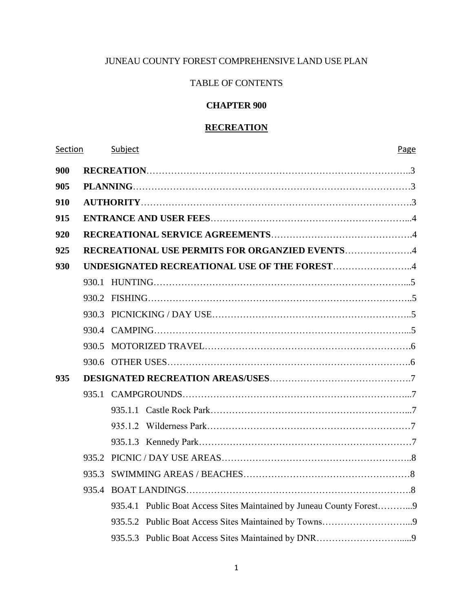# JUNEAU COUNTY FOREST COMPREHENSIVE LAND USE PLAN

# TABLE OF CONTENTS

# **CHAPTER 900**

# **RECREATION**

| Section |       | Subject<br>Page                                                      |  |  |  |  |
|---------|-------|----------------------------------------------------------------------|--|--|--|--|
| 900     |       |                                                                      |  |  |  |  |
| 905     |       |                                                                      |  |  |  |  |
| 910     |       |                                                                      |  |  |  |  |
| 915     |       |                                                                      |  |  |  |  |
| 920     |       |                                                                      |  |  |  |  |
| 925     |       | <b>RECREATIONAL USE PERMITS FOR ORGANZIED EVENTS4</b>                |  |  |  |  |
| 930     |       | UNDESIGNATED RECREATIONAL USE OF THE FOREST4                         |  |  |  |  |
|         |       |                                                                      |  |  |  |  |
|         |       |                                                                      |  |  |  |  |
|         |       |                                                                      |  |  |  |  |
|         |       |                                                                      |  |  |  |  |
|         |       |                                                                      |  |  |  |  |
|         |       |                                                                      |  |  |  |  |
| 935     |       |                                                                      |  |  |  |  |
|         |       |                                                                      |  |  |  |  |
|         |       |                                                                      |  |  |  |  |
|         |       |                                                                      |  |  |  |  |
|         |       |                                                                      |  |  |  |  |
|         |       |                                                                      |  |  |  |  |
|         | 935.3 |                                                                      |  |  |  |  |
|         |       |                                                                      |  |  |  |  |
|         |       | 935.4.1 Public Boat Access Sites Maintained by Juneau County Forest9 |  |  |  |  |
|         |       |                                                                      |  |  |  |  |
|         |       |                                                                      |  |  |  |  |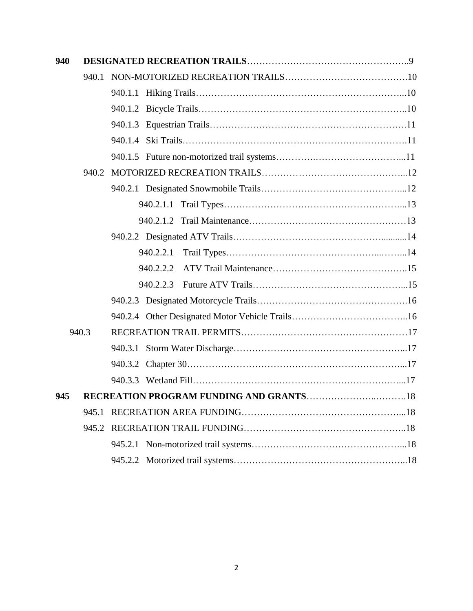| 940 |       |         |           |  |  |
|-----|-------|---------|-----------|--|--|
|     | 940.1 |         |           |  |  |
|     |       |         |           |  |  |
|     |       |         |           |  |  |
|     |       |         |           |  |  |
|     |       |         |           |  |  |
|     |       |         |           |  |  |
|     |       |         |           |  |  |
|     |       |         |           |  |  |
|     |       |         |           |  |  |
|     |       |         |           |  |  |
|     |       |         |           |  |  |
|     |       |         | 940.2.2.1 |  |  |
|     |       |         | 940.2.2.2 |  |  |
|     |       |         | 940.2.2.3 |  |  |
|     |       |         |           |  |  |
|     |       |         |           |  |  |
|     | 940.3 |         |           |  |  |
|     |       |         |           |  |  |
|     |       |         |           |  |  |
|     |       |         |           |  |  |
| 945 |       |         |           |  |  |
|     | 945.1 |         |           |  |  |
|     | 945.2 |         |           |  |  |
|     |       | 945.2.1 |           |  |  |
|     |       |         |           |  |  |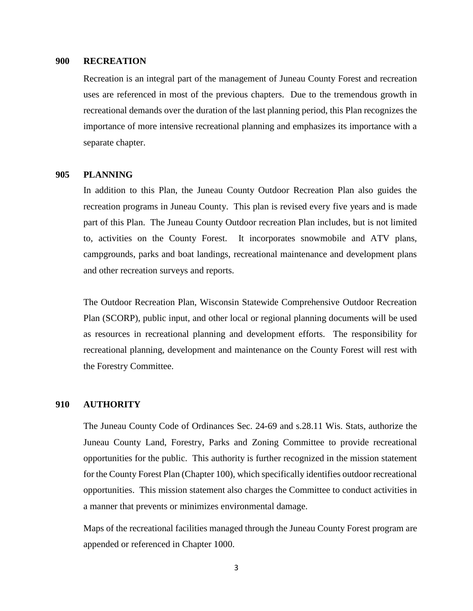#### **900 RECREATION**

Recreation is an integral part of the management of Juneau County Forest and recreation uses are referenced in most of the previous chapters. Due to the tremendous growth in recreational demands over the duration of the last planning period, this Plan recognizes the importance of more intensive recreational planning and emphasizes its importance with a separate chapter.

# **905 PLANNING**

In addition to this Plan, the Juneau County Outdoor Recreation Plan also guides the recreation programs in Juneau County. This plan is revised every five years and is made part of this Plan. The Juneau County Outdoor recreation Plan includes, but is not limited to, activities on the County Forest. It incorporates snowmobile and ATV plans, campgrounds, parks and boat landings, recreational maintenance and development plans and other recreation surveys and reports.

The Outdoor Recreation Plan, Wisconsin Statewide Comprehensive Outdoor Recreation Plan (SCORP), public input, and other local or regional planning documents will be used as resources in recreational planning and development efforts. The responsibility for recreational planning, development and maintenance on the County Forest will rest with the Forestry Committee.

# **910 AUTHORITY**

The Juneau County Code of Ordinances Sec. 24-69 and s.28.11 Wis. Stats, authorize the Juneau County Land, Forestry, Parks and Zoning Committee to provide recreational opportunities for the public. This authority is further recognized in the mission statement for the County Forest Plan (Chapter 100), which specifically identifies outdoor recreational opportunities. This mission statement also charges the Committee to conduct activities in a manner that prevents or minimizes environmental damage.

Maps of the recreational facilities managed through the Juneau County Forest program are appended or referenced in Chapter 1000.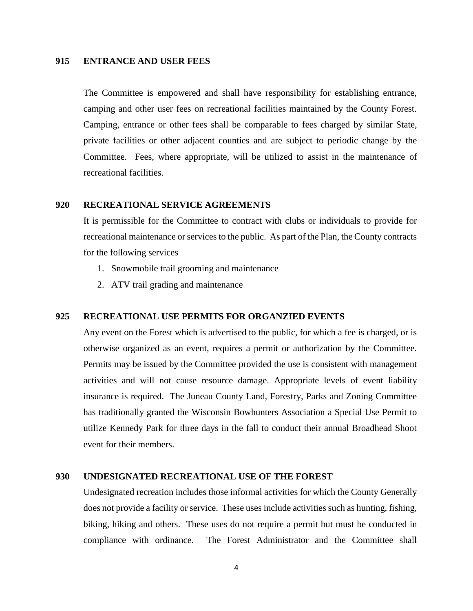# **915 ENTRANCE AND USER FEES**

The Committee is empowered and shall have responsibility for establishing entrance, camping and other user fees on recreational facilities maintained by the County Forest. Camping, entrance or other fees shall be comparable to fees charged by similar State, private facilities or other adjacent counties and are subject to periodic change by the Committee. Fees, where appropriate, will be utilized to assist in the maintenance of recreational facilities.

### **920 RECREATIONAL SERVICE AGREEMENTS**

It is permissible for the Committee to contract with clubs or individuals to provide for recreational maintenance or services to the public. As part of the Plan, the County contracts for the following services

- 1. Snowmobile trail grooming and maintenance
- 2. ATV trail grading and maintenance

#### **925 RECREATIONAL USE PERMITS FOR ORGANZIED EVENTS**

Any event on the Forest which is advertised to the public, for which a fee is charged, or is otherwise organized as an event, requires a permit or authorization by the Committee. Permits may be issued by the Committee provided the use is consistent with management activities and will not cause resource damage. Appropriate levels of event liability insurance is required. The Juneau County Land, Forestry, Parks and Zoning Committee has traditionally granted the Wisconsin Bowhunters Association a Special Use Permit to utilize Kennedy Park for three days in the fall to conduct their annual Broadhead Shoot event for their members.

### **930 UNDESIGNATED RECREATIONAL USE OF THE FOREST**

Undesignated recreation includes those informal activities for which the County Generally does not provide a facility or service. These uses include activities such as hunting, fishing, biking, hiking and others. These uses do not require a permit but must be conducted in compliance with ordinance. The Forest Administrator and the Committee shall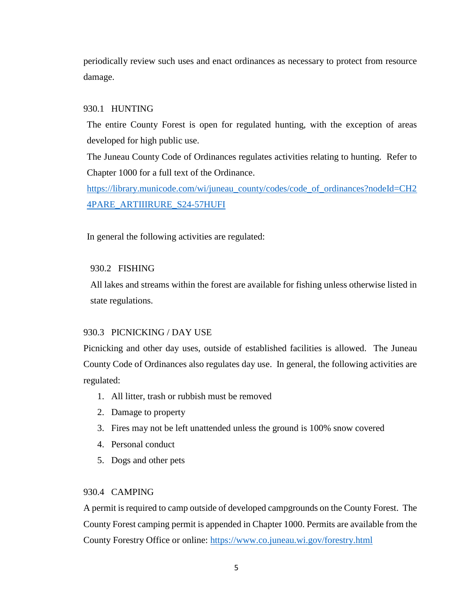periodically review such uses and enact ordinances as necessary to protect from resource damage.

# 930.1 HUNTING

The entire County Forest is open for regulated hunting, with the exception of areas developed for high public use.

The Juneau County Code of Ordinances regulates activities relating to hunting. Refer to Chapter 1000 for a full text of the Ordinance.

[https://library.municode.com/wi/juneau\\_county/codes/code\\_of\\_ordinances?nodeId=CH2](https://library.municode.com/wi/juneau_county/codes/code_of_ordinances?nodeId=CH24PARE_ARTIIIRURE_S24-57HUFI) [4PARE\\_ARTIIIRURE\\_S24-57HUFI](https://library.municode.com/wi/juneau_county/codes/code_of_ordinances?nodeId=CH24PARE_ARTIIIRURE_S24-57HUFI)

In general the following activities are regulated:

# 930.2 FISHING

All lakes and streams within the forest are available for fishing unless otherwise listed in state regulations.

# 930.3 PICNICKING / DAY USE

Picnicking and other day uses, outside of established facilities is allowed. The Juneau County Code of Ordinances also regulates day use. In general, the following activities are regulated:

- 1. All litter, trash or rubbish must be removed
- 2. Damage to property
- 3. Fires may not be left unattended unless the ground is 100% snow covered
- 4. Personal conduct
- 5. Dogs and other pets

# 930.4 CAMPING

A permit is required to camp outside of developed campgrounds on the County Forest. The County Forest camping permit is appended in Chapter 1000. Permits are available from the County Forestry Office or online:<https://www.co.juneau.wi.gov/forestry.html>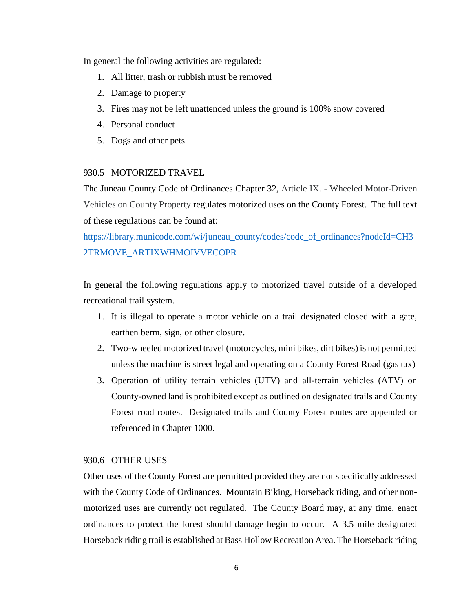In general the following activities are regulated:

- 1. All litter, trash or rubbish must be removed
- 2. Damage to property
- 3. Fires may not be left unattended unless the ground is 100% snow covered
- 4. Personal conduct
- 5. Dogs and other pets

# 930.5 MOTORIZED TRAVEL

The Juneau County Code of Ordinances Chapter 32, Article IX. - Wheeled Motor-Driven Vehicles on County Property regulates motorized uses on the County Forest. The full text of these regulations can be found at:

[https://library.municode.com/wi/juneau\\_county/codes/code\\_of\\_ordinances?nodeId=CH3](https://library.municode.com/wi/juneau_county/codes/code_of_ordinances?nodeId=CH32TRMOVE_ARTIXWHMOIVVECOPR) [2TRMOVE\\_ARTIXWHMOIVVECOPR](https://library.municode.com/wi/juneau_county/codes/code_of_ordinances?nodeId=CH32TRMOVE_ARTIXWHMOIVVECOPR)

In general the following regulations apply to motorized travel outside of a developed recreational trail system.

- 1. It is illegal to operate a motor vehicle on a trail designated closed with a gate, earthen berm, sign, or other closure.
- 2. Two-wheeled motorized travel (motorcycles, mini bikes, dirt bikes) is not permitted unless the machine is street legal and operating on a County Forest Road (gas tax)
- 3. Operation of utility terrain vehicles (UTV) and all-terrain vehicles (ATV) on County-owned land is prohibited except as outlined on designated trails and County Forest road routes. Designated trails and County Forest routes are appended or referenced in Chapter 1000.

# 930.6 OTHER USES

Other uses of the County Forest are permitted provided they are not specifically addressed with the County Code of Ordinances. Mountain Biking, Horseback riding, and other nonmotorized uses are currently not regulated. The County Board may, at any time, enact ordinances to protect the forest should damage begin to occur. A 3.5 mile designated Horseback riding trail is established at Bass Hollow Recreation Area. The Horseback riding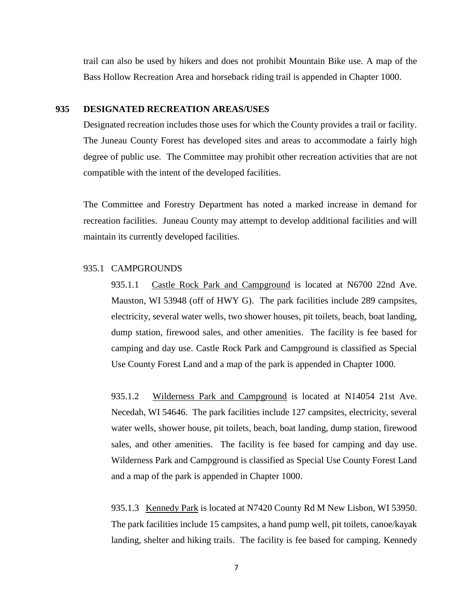trail can also be used by hikers and does not prohibit Mountain Bike use. A map of the Bass Hollow Recreation Area and horseback riding trail is appended in Chapter 1000.

#### **935 DESIGNATED RECREATION AREAS/USES**

Designated recreation includes those uses for which the County provides a trail or facility. The Juneau County Forest has developed sites and areas to accommodate a fairly high degree of public use. The Committee may prohibit other recreation activities that are not compatible with the intent of the developed facilities.

The Committee and Forestry Department has noted a marked increase in demand for recreation facilities. Juneau County may attempt to develop additional facilities and will maintain its currently developed facilities.

### 935.1 CAMPGROUNDS

935.1.1 Castle Rock Park and Campground is located at N6700 22nd Ave. Mauston, WI 53948 (off of HWY G). The park facilities include 289 campsites, electricity, several water wells, two shower houses, pit toilets, beach, boat landing, dump station, firewood sales, and other amenities. The facility is fee based for camping and day use. Castle Rock Park and Campground is classified as Special Use County Forest Land and a map of the park is appended in Chapter 1000.

935.1.2 Wilderness Park and Campground is located at N14054 21st Ave. Necedah, WI 54646. The park facilities include 127 campsites, electricity, several water wells, shower house, pit toilets, beach, boat landing, dump station, firewood sales, and other amenities. The facility is fee based for camping and day use. Wilderness Park and Campground is classified as Special Use County Forest Land and a map of the park is appended in Chapter 1000.

935.1.3 Kennedy Park is located at N7420 County Rd M New Lisbon, WI 53950. The park facilities include 15 campsites, a hand pump well, pit toilets, canoe/kayak landing, shelter and hiking trails. The facility is fee based for camping. Kennedy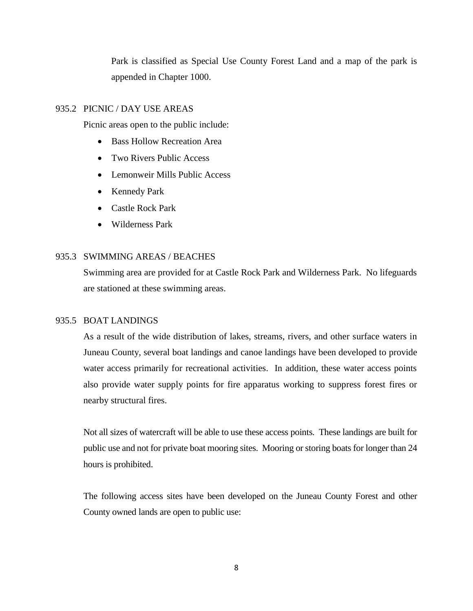Park is classified as Special Use County Forest Land and a map of the park is appended in Chapter 1000.

# 935.2 PICNIC / DAY USE AREAS

Picnic areas open to the public include:

- Bass Hollow Recreation Area
- Two Rivers Public Access
- Lemonweir Mills Public Access
- Kennedy Park
- Castle Rock Park
- Wilderness Park

# 935.3 SWIMMING AREAS / BEACHES

Swimming area are provided for at Castle Rock Park and Wilderness Park. No lifeguards are stationed at these swimming areas.

# 935.5 BOAT LANDINGS

As a result of the wide distribution of lakes, streams, rivers, and other surface waters in Juneau County, several boat landings and canoe landings have been developed to provide water access primarily for recreational activities. In addition, these water access points also provide water supply points for fire apparatus working to suppress forest fires or nearby structural fires.

Not all sizes of watercraft will be able to use these access points. These landings are built for public use and not for private boat mooring sites. Mooring or storing boats for longer than 24 hours is prohibited.

The following access sites have been developed on the Juneau County Forest and other County owned lands are open to public use: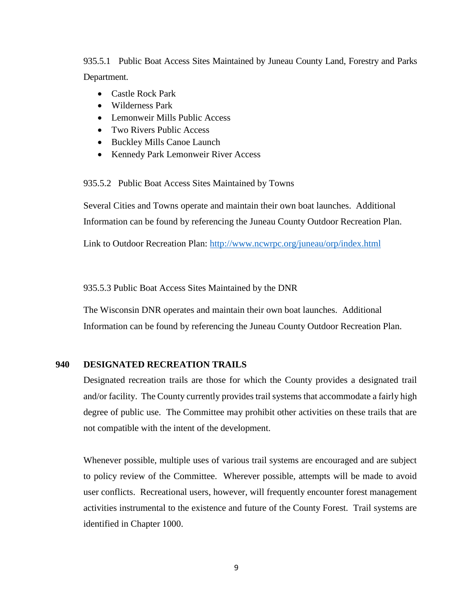935.5.1 Public Boat Access Sites Maintained by Juneau County Land, Forestry and Parks Department.

- Castle Rock Park
- Wilderness Park
- Lemonweir Mills Public Access
- Two Rivers Public Access
- Buckley Mills Canoe Launch
- Kennedy Park Lemonweir River Access

935.5.2 Public Boat Access Sites Maintained by Towns

Several Cities and Towns operate and maintain their own boat launches. Additional Information can be found by referencing the Juneau County Outdoor Recreation Plan.

Link to Outdoor Recreation Plan:<http://www.ncwrpc.org/juneau/orp/index.html>

935.5.3 Public Boat Access Sites Maintained by the DNR

The Wisconsin DNR operates and maintain their own boat launches. Additional Information can be found by referencing the Juneau County Outdoor Recreation Plan.

### **940 DESIGNATED RECREATION TRAILS**

Designated recreation trails are those for which the County provides a designated trail and/or facility. The County currently provides trail systems that accommodate a fairly high degree of public use. The Committee may prohibit other activities on these trails that are not compatible with the intent of the development.

Whenever possible, multiple uses of various trail systems are encouraged and are subject to policy review of the Committee. Wherever possible, attempts will be made to avoid user conflicts. Recreational users, however, will frequently encounter forest management activities instrumental to the existence and future of the County Forest. Trail systems are identified in Chapter 1000.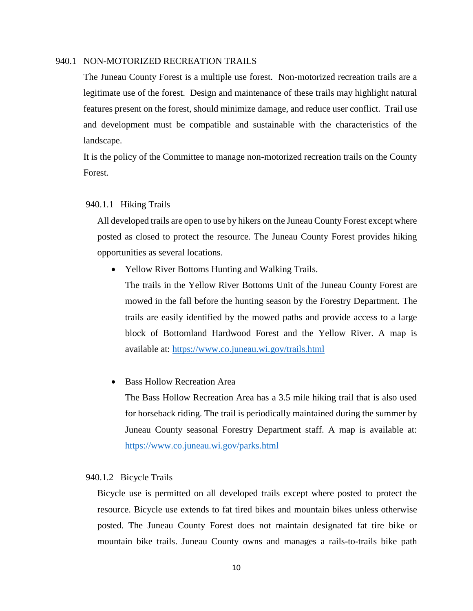### 940.1 NON-MOTORIZED RECREATION TRAILS

The Juneau County Forest is a multiple use forest. Non-motorized recreation trails are a legitimate use of the forest. Design and maintenance of these trails may highlight natural features present on the forest, should minimize damage, and reduce user conflict. Trail use and development must be compatible and sustainable with the characteristics of the landscape.

It is the policy of the Committee to manage non-motorized recreation trails on the County Forest.

### 940.1.1 Hiking Trails

All developed trails are open to use by hikers on the Juneau County Forest except where posted as closed to protect the resource. The Juneau County Forest provides hiking opportunities as several locations.

• Yellow River Bottoms Hunting and Walking Trails.

The trails in the Yellow River Bottoms Unit of the Juneau County Forest are mowed in the fall before the hunting season by the Forestry Department. The trails are easily identified by the mowed paths and provide access to a large block of Bottomland Hardwood Forest and the Yellow River. A map is available at:<https://www.co.juneau.wi.gov/trails.html>

# Bass Hollow Recreation Area

The Bass Hollow Recreation Area has a 3.5 mile hiking trail that is also used for horseback riding. The trail is periodically maintained during the summer by Juneau County seasonal Forestry Department staff. A map is available at: <https://www.co.juneau.wi.gov/parks.html>

#### 940.1.2 Bicycle Trails

 Bicycle use is permitted on all developed trails except where posted to protect the resource. Bicycle use extends to fat tired bikes and mountain bikes unless otherwise posted. The Juneau County Forest does not maintain designated fat tire bike or mountain bike trails. Juneau County owns and manages a rails-to-trails bike path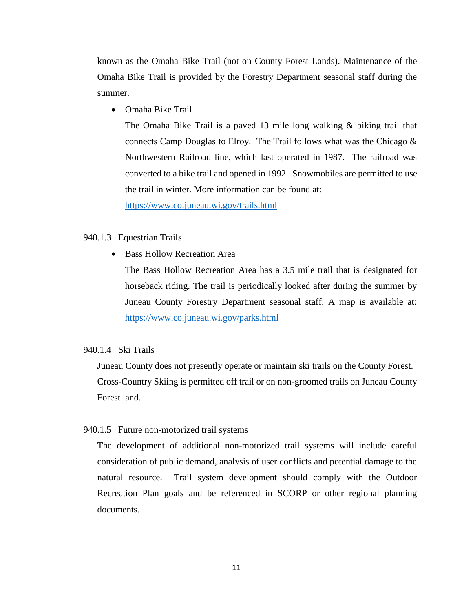known as the Omaha Bike Trail (not on County Forest Lands). Maintenance of the Omaha Bike Trail is provided by the Forestry Department seasonal staff during the summer.

• Omaha Bike Trail

The Omaha Bike Trail is a paved 13 mile long walking & biking trail that connects Camp Douglas to Elroy. The Trail follows what was the Chicago  $\&$ Northwestern Railroad line, which last operated in 1987. The railroad was converted to a bike trail and opened in 1992. Snowmobiles are permitted to use the trail in winter. More information can be found at:

<https://www.co.juneau.wi.gov/trails.html>

# 940.1.3 Equestrian Trails

• Bass Hollow Recreation Area

The Bass Hollow Recreation Area has a 3.5 mile trail that is designated for horseback riding. The trail is periodically looked after during the summer by Juneau County Forestry Department seasonal staff. A map is available at: <https://www.co.juneau.wi.gov/parks.html>

# 940.1.4 Ski Trails

Juneau County does not presently operate or maintain ski trails on the County Forest. Cross-Country Skiing is permitted off trail or on non-groomed trails on Juneau County Forest land.

### 940.1.5 Future non-motorized trail systems

The development of additional non-motorized trail systems will include careful consideration of public demand, analysis of user conflicts and potential damage to the natural resource. Trail system development should comply with the Outdoor Recreation Plan goals and be referenced in SCORP or other regional planning documents.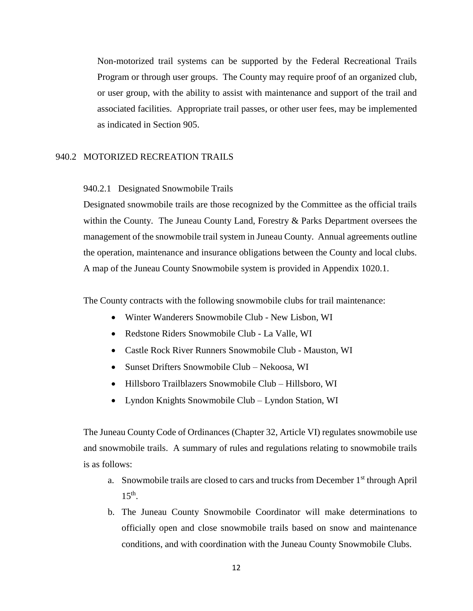Non-motorized trail systems can be supported by the Federal Recreational Trails Program or through user groups. The County may require proof of an organized club, or user group, with the ability to assist with maintenance and support of the trail and associated facilities. Appropriate trail passes, or other user fees, may be implemented as indicated in Section 905.

### 940.2 MOTORIZED RECREATION TRAILS

### 940.2.1 Designated Snowmobile Trails

Designated snowmobile trails are those recognized by the Committee as the official trails within the County. The Juneau County Land, Forestry & Parks Department oversees the management of the snowmobile trail system in Juneau County. Annual agreements outline the operation, maintenance and insurance obligations between the County and local clubs. A map of the Juneau County Snowmobile system is provided in Appendix 1020.1.

The County contracts with the following snowmobile clubs for trail maintenance:

- Winter Wanderers Snowmobile Club New Lisbon, WI
- Redstone Riders Snowmobile Club La Valle, WI
- Castle Rock River Runners Snowmobile Club Mauston, WI
- Sunset Drifters Snowmobile Club Nekoosa, WI
- Hillsboro Trailblazers Snowmobile Club Hillsboro, WI
- Lyndon Knights Snowmobile Club Lyndon Station, WI

The Juneau County Code of Ordinances (Chapter 32, Article VI) regulates snowmobile use and snowmobile trails. A summary of rules and regulations relating to snowmobile trails is as follows:

- a. Snowmobile trails are closed to cars and trucks from December 1st through April  $15<sup>th</sup>$ .
- b. The Juneau County Snowmobile Coordinator will make determinations to officially open and close snowmobile trails based on snow and maintenance conditions, and with coordination with the Juneau County Snowmobile Clubs.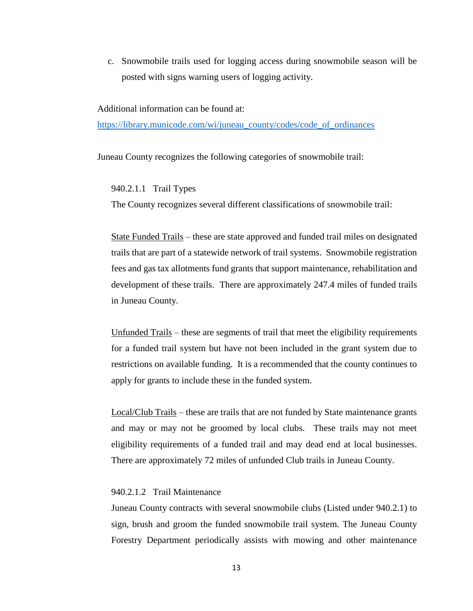c. Snowmobile trails used for logging access during snowmobile season will be posted with signs warning users of logging activity.

Additional information can be found at:

[https://library.municode.com/wi/juneau\\_county/codes/code\\_of\\_ordinances](https://library.municode.com/wi/juneau_county/codes/code_of_ordinances)

Juneau County recognizes the following categories of snowmobile trail:

940.2.1.1 Trail Types

The County recognizes several different classifications of snowmobile trail:

State Funded Trails – these are state approved and funded trail miles on designated trails that are part of a statewide network of trail systems. Snowmobile registration fees and gas tax allotments fund grants that support maintenance, rehabilitation and development of these trails. There are approximately 247.4 miles of funded trails in Juneau County.

Unfunded Trails – these are segments of trail that meet the eligibility requirements for a funded trail system but have not been included in the grant system due to restrictions on available funding. It is a recommended that the county continues to apply for grants to include these in the funded system.

Local/Club Trails – these are trails that are not funded by State maintenance grants and may or may not be groomed by local clubs. These trails may not meet eligibility requirements of a funded trail and may dead end at local businesses. There are approximately 72 miles of unfunded Club trails in Juneau County.

# 940.2.1.2 Trail Maintenance

Juneau County contracts with several snowmobile clubs (Listed under 940.2.1) to sign, brush and groom the funded snowmobile trail system. The Juneau County Forestry Department periodically assists with mowing and other maintenance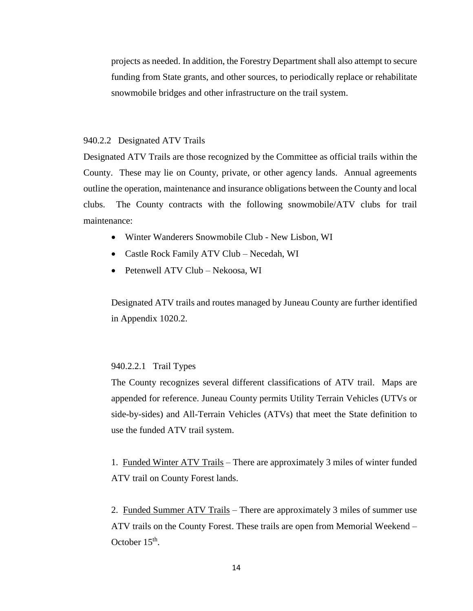projects as needed. In addition, the Forestry Department shall also attempt to secure funding from State grants, and other sources, to periodically replace or rehabilitate snowmobile bridges and other infrastructure on the trail system.

#### 940.2.2 Designated ATV Trails

Designated ATV Trails are those recognized by the Committee as official trails within the County. These may lie on County, private, or other agency lands. Annual agreements outline the operation, maintenance and insurance obligations between the County and local clubs. The County contracts with the following snowmobile/ATV clubs for trail maintenance:

- Winter Wanderers Snowmobile Club New Lisbon, WI
- Castle Rock Family ATV Club Necedah, WI
- Petenwell ATV Club Nekoosa, WI

Designated ATV trails and routes managed by Juneau County are further identified in Appendix 1020.2.

# 940.2.2.1 Trail Types

The County recognizes several different classifications of ATV trail. Maps are appended for reference. Juneau County permits Utility Terrain Vehicles (UTVs or side-by-sides) and All-Terrain Vehicles (ATVs) that meet the State definition to use the funded ATV trail system.

1. Funded Winter ATV Trails – There are approximately 3 miles of winter funded ATV trail on County Forest lands.

2. Funded Summer ATV Trails – There are approximately 3 miles of summer use ATV trails on the County Forest. These trails are open from Memorial Weekend – October  $15<sup>th</sup>$ .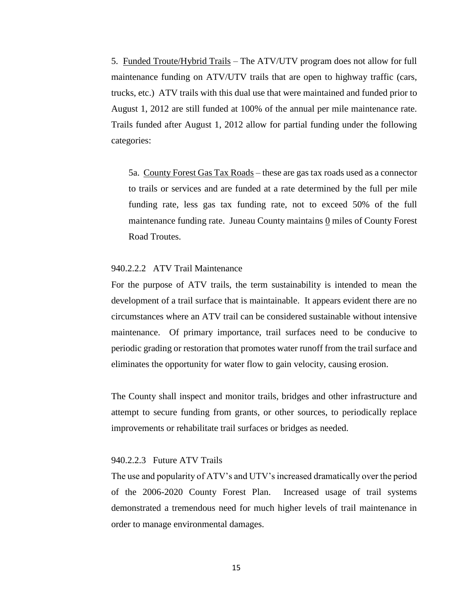5. Funded Troute/Hybrid Trails – The ATV/UTV program does not allow for full maintenance funding on ATV/UTV trails that are open to highway traffic (cars, trucks, etc.) ATV trails with this dual use that were maintained and funded prior to August 1, 2012 are still funded at 100% of the annual per mile maintenance rate. Trails funded after August 1, 2012 allow for partial funding under the following categories:

5a. County Forest Gas Tax Roads – these are gas tax roads used as a connector to trails or services and are funded at a rate determined by the full per mile funding rate, less gas tax funding rate, not to exceed 50% of the full maintenance funding rate. Juneau County maintains 0 miles of County Forest Road Troutes.

### 940.2.2.2 ATV Trail Maintenance

For the purpose of ATV trails, the term sustainability is intended to mean the development of a trail surface that is maintainable. It appears evident there are no circumstances where an ATV trail can be considered sustainable without intensive maintenance. Of primary importance, trail surfaces need to be conducive to periodic grading or restoration that promotes water runoff from the trail surface and eliminates the opportunity for water flow to gain velocity, causing erosion.

The County shall inspect and monitor trails, bridges and other infrastructure and attempt to secure funding from grants, or other sources, to periodically replace improvements or rehabilitate trail surfaces or bridges as needed.

#### 940.2.2.3 Future ATV Trails

The use and popularity of ATV's and UTV's increased dramatically over the period of the 2006-2020 County Forest Plan. Increased usage of trail systems demonstrated a tremendous need for much higher levels of trail maintenance in order to manage environmental damages.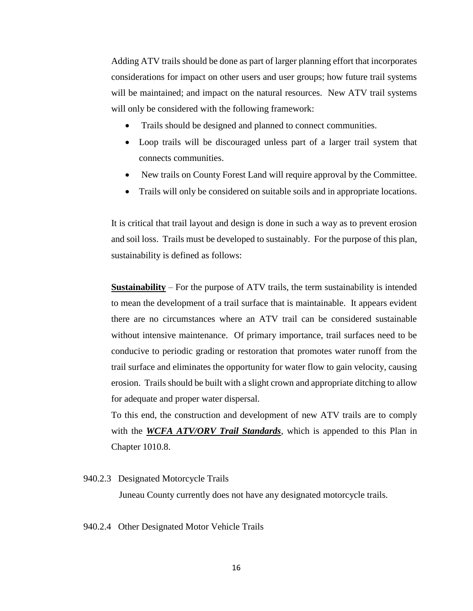Adding ATV trails should be done as part of larger planning effort that incorporates considerations for impact on other users and user groups; how future trail systems will be maintained; and impact on the natural resources. New ATV trail systems will only be considered with the following framework:

- Trails should be designed and planned to connect communities.
- Loop trails will be discouraged unless part of a larger trail system that connects communities.
- New trails on County Forest Land will require approval by the Committee.
- Trails will only be considered on suitable soils and in appropriate locations.

It is critical that trail layout and design is done in such a way as to prevent erosion and soil loss. Trails must be developed to sustainably. For the purpose of this plan, sustainability is defined as follows:

**Sustainability** – For the purpose of ATV trails, the term sustainability is intended to mean the development of a trail surface that is maintainable. It appears evident there are no circumstances where an ATV trail can be considered sustainable without intensive maintenance. Of primary importance, trail surfaces need to be conducive to periodic grading or restoration that promotes water runoff from the trail surface and eliminates the opportunity for water flow to gain velocity, causing erosion. Trails should be built with a slight crown and appropriate ditching to allow for adequate and proper water dispersal.

To this end, the construction and development of new ATV trails are to comply with the *WCFA ATV/ORV Trail Standards*, which is appended to this Plan in Chapter 1010.8.

### 940.2.3 Designated Motorcycle Trails

Juneau County currently does not have any designated motorcycle trails.

940.2.4 Other Designated Motor Vehicle Trails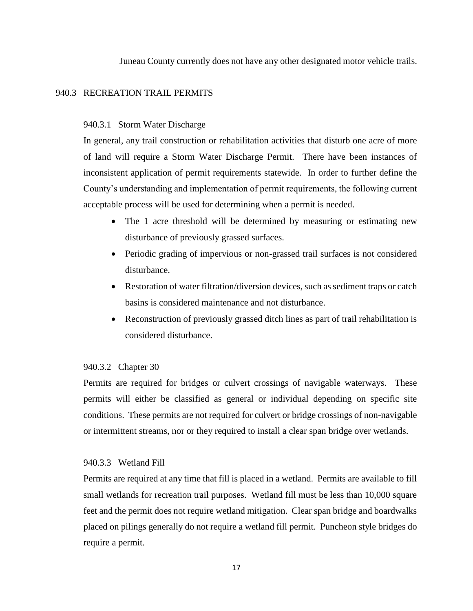Juneau County currently does not have any other designated motor vehicle trails.

### 940.3 RECREATION TRAIL PERMITS

### 940.3.1 Storm Water Discharge

In general, any trail construction or rehabilitation activities that disturb one acre of more of land will require a Storm Water Discharge Permit. There have been instances of inconsistent application of permit requirements statewide. In order to further define the County's understanding and implementation of permit requirements, the following current acceptable process will be used for determining when a permit is needed.

- The 1 acre threshold will be determined by measuring or estimating new disturbance of previously grassed surfaces.
- Periodic grading of impervious or non-grassed trail surfaces is not considered disturbance.
- Restoration of water filtration/diversion devices, such as sediment traps or catch basins is considered maintenance and not disturbance.
- Reconstruction of previously grassed ditch lines as part of trail rehabilitation is considered disturbance.

### 940.3.2 Chapter 30

Permits are required for bridges or culvert crossings of navigable waterways. These permits will either be classified as general or individual depending on specific site conditions. These permits are not required for culvert or bridge crossings of non-navigable or intermittent streams, nor or they required to install a clear span bridge over wetlands.

### 940.3.3 Wetland Fill

Permits are required at any time that fill is placed in a wetland. Permits are available to fill small wetlands for recreation trail purposes. Wetland fill must be less than 10,000 square feet and the permit does not require wetland mitigation. Clear span bridge and boardwalks placed on pilings generally do not require a wetland fill permit. Puncheon style bridges do require a permit.